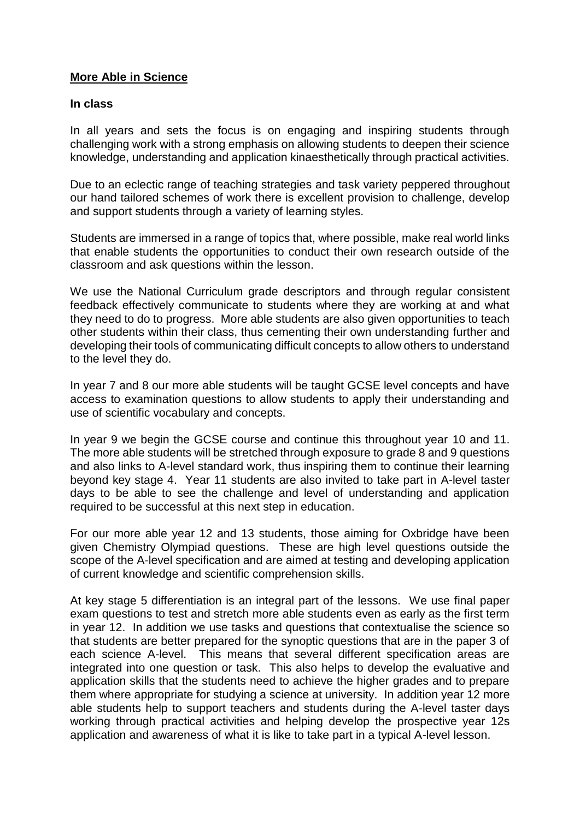## **More Able in Science**

#### **In class**

In all years and sets the focus is on engaging and inspiring students through challenging work with a strong emphasis on allowing students to deepen their science knowledge, understanding and application kinaesthetically through practical activities.

Due to an eclectic range of teaching strategies and task variety peppered throughout our hand tailored schemes of work there is excellent provision to challenge, develop and support students through a variety of learning styles.

Students are immersed in a range of topics that, where possible, make real world links that enable students the opportunities to conduct their own research outside of the classroom and ask questions within the lesson.

We use the National Curriculum grade descriptors and through regular consistent feedback effectively communicate to students where they are working at and what they need to do to progress. More able students are also given opportunities to teach other students within their class, thus cementing their own understanding further and developing their tools of communicating difficult concepts to allow others to understand to the level they do.

In year 7 and 8 our more able students will be taught GCSE level concepts and have access to examination questions to allow students to apply their understanding and use of scientific vocabulary and concepts.

In year 9 we begin the GCSE course and continue this throughout year 10 and 11. The more able students will be stretched through exposure to grade 8 and 9 questions and also links to A-level standard work, thus inspiring them to continue their learning beyond key stage 4. Year 11 students are also invited to take part in A-level taster days to be able to see the challenge and level of understanding and application required to be successful at this next step in education.

For our more able year 12 and 13 students, those aiming for Oxbridge have been given Chemistry Olympiad questions. These are high level questions outside the scope of the A-level specification and are aimed at testing and developing application of current knowledge and scientific comprehension skills.

At key stage 5 differentiation is an integral part of the lessons. We use final paper exam questions to test and stretch more able students even as early as the first term in year 12. In addition we use tasks and questions that contextualise the science so that students are better prepared for the synoptic questions that are in the paper 3 of each science A-level. This means that several different specification areas are integrated into one question or task. This also helps to develop the evaluative and application skills that the students need to achieve the higher grades and to prepare them where appropriate for studying a science at university. In addition year 12 more able students help to support teachers and students during the A-level taster days working through practical activities and helping develop the prospective year 12s application and awareness of what it is like to take part in a typical A-level lesson.